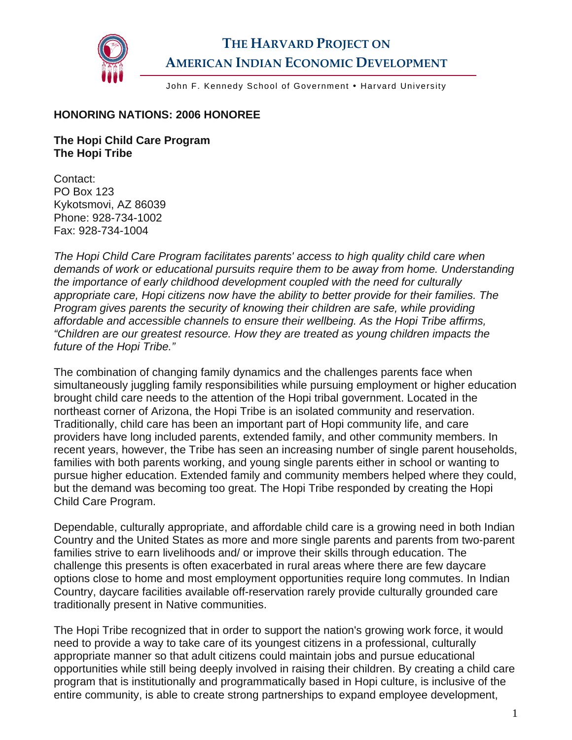

## **THE HARVARD PROJECT ON AMERICAN INDIAN ECONOMIC DEVELOPMENT**

John F. Kennedy School of Government . Harvard University

## **HONORING NATIONS: 2006 HONOREE**

**The Hopi Child Care Program The Hopi Tribe** 

Contact: PO Box 123 Kykotsmovi, AZ 86039 Phone: 928-734-1002 Fax: 928-734-1004

*The Hopi Child Care Program facilitates parents' access to high quality child care when demands of work or educational pursuits require them to be away from home. Understanding the importance of early childhood development coupled with the need for culturally appropriate care, Hopi citizens now have the ability to better provide for their families. The Program gives parents the security of knowing their children are safe, while providing affordable and accessible channels to ensure their wellbeing. As the Hopi Tribe affirms, "Children are our greatest resource. How they are treated as young children impacts the future of the Hopi Tribe."* 

The combination of changing family dynamics and the challenges parents face when simultaneously juggling family responsibilities while pursuing employment or higher education brought child care needs to the attention of the Hopi tribal government. Located in the northeast corner of Arizona, the Hopi Tribe is an isolated community and reservation. Traditionally, child care has been an important part of Hopi community life, and care providers have long included parents, extended family, and other community members. In recent years, however, the Tribe has seen an increasing number of single parent households, families with both parents working, and young single parents either in school or wanting to pursue higher education. Extended family and community members helped where they could, but the demand was becoming too great. The Hopi Tribe responded by creating the Hopi Child Care Program.

Dependable, culturally appropriate, and affordable child care is a growing need in both Indian Country and the United States as more and more single parents and parents from two-parent families strive to earn livelihoods and/ or improve their skills through education. The challenge this presents is often exacerbated in rural areas where there are few daycare options close to home and most employment opportunities require long commutes. In Indian Country, daycare facilities available off-reservation rarely provide culturally grounded care traditionally present in Native communities.

The Hopi Tribe recognized that in order to support the nation's growing work force, it would need to provide a way to take care of its youngest citizens in a professional, culturally appropriate manner so that adult citizens could maintain jobs and pursue educational opportunities while still being deeply involved in raising their children. By creating a child care program that is institutionally and programmatically based in Hopi culture, is inclusive of the entire community, is able to create strong partnerships to expand employee development,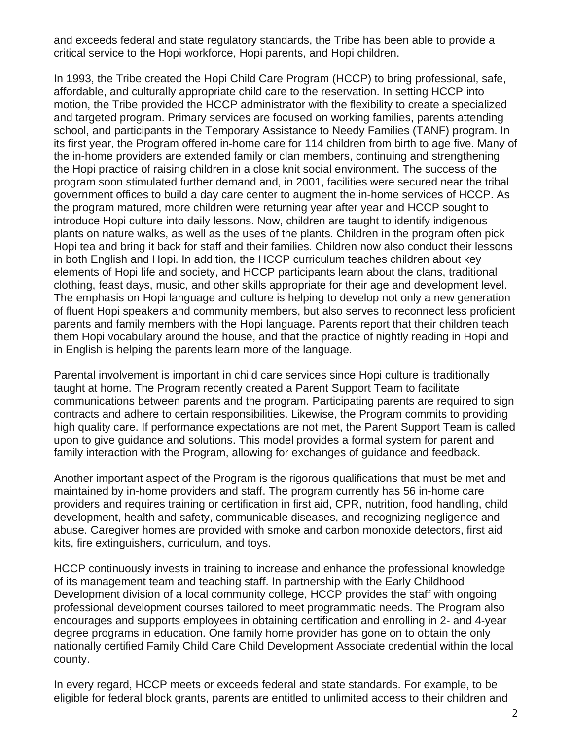and exceeds federal and state regulatory standards, the Tribe has been able to provide a critical service to the Hopi workforce, Hopi parents, and Hopi children.

In 1993, the Tribe created the Hopi Child Care Program (HCCP) to bring professional, safe, affordable, and culturally appropriate child care to the reservation. In setting HCCP into motion, the Tribe provided the HCCP administrator with the flexibility to create a specialized and targeted program. Primary services are focused on working families, parents attending school, and participants in the Temporary Assistance to Needy Families (TANF) program. In its first year, the Program offered in-home care for 114 children from birth to age five. Many of the in-home providers are extended family or clan members, continuing and strengthening the Hopi practice of raising children in a close knit social environment. The success of the program soon stimulated further demand and, in 2001, facilities were secured near the tribal government offices to build a day care center to augment the in-home services of HCCP. As the program matured, more children were returning year after year and HCCP sought to introduce Hopi culture into daily lessons. Now, children are taught to identify indigenous plants on nature walks, as well as the uses of the plants. Children in the program often pick Hopi tea and bring it back for staff and their families. Children now also conduct their lessons in both English and Hopi. In addition, the HCCP curriculum teaches children about key elements of Hopi life and society, and HCCP participants learn about the clans, traditional clothing, feast days, music, and other skills appropriate for their age and development level. The emphasis on Hopi language and culture is helping to develop not only a new generation of fluent Hopi speakers and community members, but also serves to reconnect less proficient parents and family members with the Hopi language. Parents report that their children teach them Hopi vocabulary around the house, and that the practice of nightly reading in Hopi and in English is helping the parents learn more of the language.

Parental involvement is important in child care services since Hopi culture is traditionally taught at home. The Program recently created a Parent Support Team to facilitate communications between parents and the program. Participating parents are required to sign contracts and adhere to certain responsibilities. Likewise, the Program commits to providing high quality care. If performance expectations are not met, the Parent Support Team is called upon to give guidance and solutions. This model provides a formal system for parent and family interaction with the Program, allowing for exchanges of guidance and feedback.

Another important aspect of the Program is the rigorous qualifications that must be met and maintained by in-home providers and staff. The program currently has 56 in-home care providers and requires training or certification in first aid, CPR, nutrition, food handling, child development, health and safety, communicable diseases, and recognizing negligence and abuse. Caregiver homes are provided with smoke and carbon monoxide detectors, first aid kits, fire extinguishers, curriculum, and toys.

HCCP continuously invests in training to increase and enhance the professional knowledge of its management team and teaching staff. In partnership with the Early Childhood Development division of a local community college, HCCP provides the staff with ongoing professional development courses tailored to meet programmatic needs. The Program also encourages and supports employees in obtaining certification and enrolling in 2- and 4-year degree programs in education. One family home provider has gone on to obtain the only nationally certified Family Child Care Child Development Associate credential within the local county.

In every regard, HCCP meets or exceeds federal and state standards. For example, to be eligible for federal block grants, parents are entitled to unlimited access to their children and